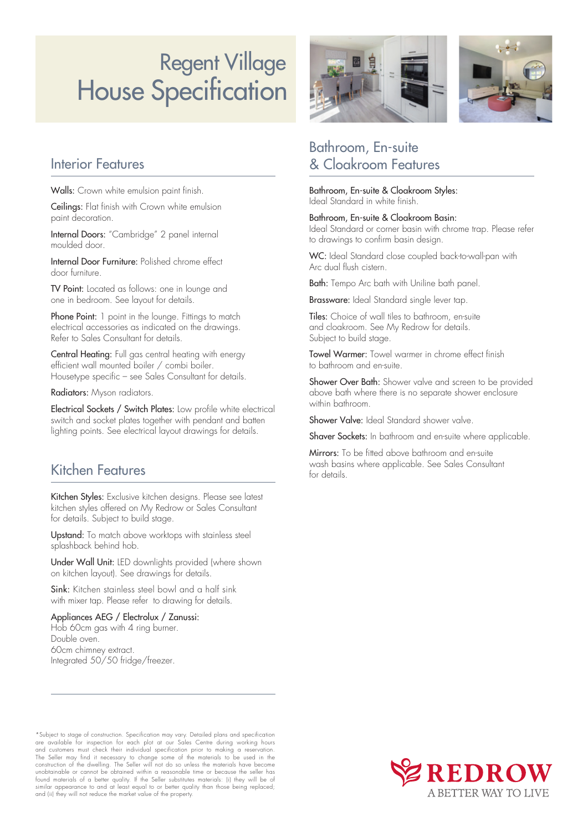# House Specification Regent Village

### Interior Features

Walls: Crown white emulsion paint finish.

Ceilings: Flat finish with Crown white emulsion paint decoration.

Internal Doors: "Cambridge" 2 panel internal moulded door.

Internal Door Furniture: Polished chrome effect door furniture.

TV Point: Located as follows: one in lounge and one in bedroom. See layout for details.

Phone Point: 1 point in the lounge. Fittings to match electrical accessories as indicated on the drawings. Refer to Sales Consultant for details.

Central Heating: Full gas central heating with energy efficient wall mounted boiler / combi boiler. Housetype specific – see Sales Consultant for details.

Radiators: Myson radiators.

Electrical Sockets / Switch Plates: Low profile white electrical switch and socket plates together with pendant and batten lighting points. See electrical layout drawings for details.

## Kitchen Features

Kitchen Styles: Exclusive kitchen designs. Please see latest kitchen styles offered on My Redrow or Sales Consultant for details. Subject to build stage.

Upstand: To match above worktops with stainless steel splashback behind hob.

Under Wall Unit: LED downlights provided (where shown on kitchen layout). See drawings for details.

Sink: Kitchen stainless steel bowl and a half sink with mixer tap. Please refer to drawing for details.

Appliances AEG / Electrolux / Zanussi: Hob 60cm gas with 4 ring burner. Double oven. 60cm chimney extract. Integrated 50/50 fridge/freezer.



# Bathroom, En-suite & Cloakroom Features

Bathroom, En-suite & Cloakroom Styles: Ideal Standard in white finish.

### Bathroom, En-suite & Cloakroom Basin:

Ideal Standard or corner basin with chrome trap. Please refer to drawings to confirm basin design.

WC: Ideal Standard close coupled back-to-wall-pan with Arc dual flush cistern.

Bath: Tempo Arc bath with Uniline bath panel.

Brassware: Ideal Standard single lever tap.

Tiles: Choice of wall tiles to bathroom, en-suite and cloakroom. See My Redrow for details. Subject to build stage.

Towel Warmer: Towel warmer in chrome effect finish to bathroom and en-suite.

Shower Over Bath: Shower valve and screen to be provided above bath where there is no separate shower enclosure within bathroom.

Shower Valve: Ideal Standard shower valve.

Shaver Sockets: In bathroom and en-suite where applicable.

Mirrors: To be fitted above bathroom and en-suite wash basins where applicable. See Sales Consultant for details.

\*Subject to stage of construction. Specification may vary. Detailed plans and specification are available for inspection for each plot at our Sales Centre during working hours<br>and customers must check their individual specification prior to making a reservation.<br>The Seller may find it necessary to change some of construction of the dwelling. The Seller will not do so unless the materials have become<br>unobtainable or cannot be obtained within a reasonable time or because the seller has<br>found materials of a better quality. If the Sel similar appearance to and at least equal to or better quality than those being replaced; and (ii) they will not reduce the market value of the property.